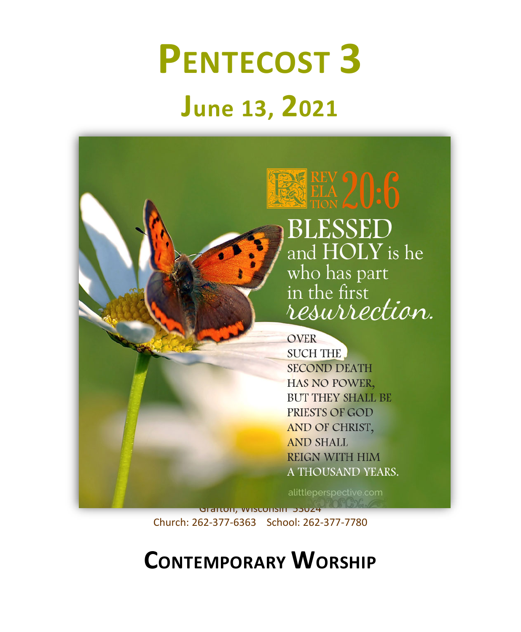# **PENTECOST 3 June 13, 2021**



Church: 262-377-6363 School: 262-377-7780

## **CONTEMPORARY WORSHIP**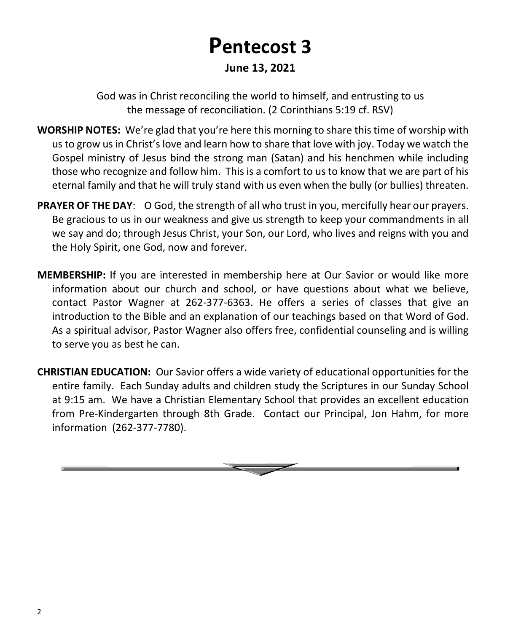## **Pentecost 3**

**June 13, 2021**

God was in Christ reconciling the world to himself, and entrusting to us the message of reconciliation. (2 Corinthians 5:19 cf. RSV)

- **WORSHIP NOTES:** We're glad that you're here this morning to share this time of worship with us to grow us in Christ's love and learn how to share that love with joy. Today we watch the Gospel ministry of Jesus bind the strong man (Satan) and his henchmen while including those who recognize and follow him. This is a comfort to us to know that we are part of his eternal family and that he will truly stand with us even when the bully (or bullies) threaten.
- **PRAYER OF THE DAY**: O God, the strength of all who trust in you, mercifully hear our prayers. Be gracious to us in our weakness and give us strength to keep your commandments in all we say and do; through Jesus Christ, your Son, our Lord, who lives and reigns with you and the Holy Spirit, one God, now and forever.
- **MEMBERSHIP:** If you are interested in membership here at Our Savior or would like more information about our church and school, or have questions about what we believe, contact Pastor Wagner at 262-377-6363. He offers a series of classes that give an introduction to the Bible and an explanation of our teachings based on that Word of God. As a spiritual advisor, Pastor Wagner also offers free, confidential counseling and is willing to serve you as best he can.
- **CHRISTIAN EDUCATION:** Our Savior offers a wide variety of educational opportunities for the entire family. Each Sunday adults and children study the Scriptures in our Sunday School at 9:15 am. We have a Christian Elementary School that provides an excellent education from Pre-Kindergarten through 8th Grade. Contact our Principal, Jon Hahm, for more information (262-377-7780).

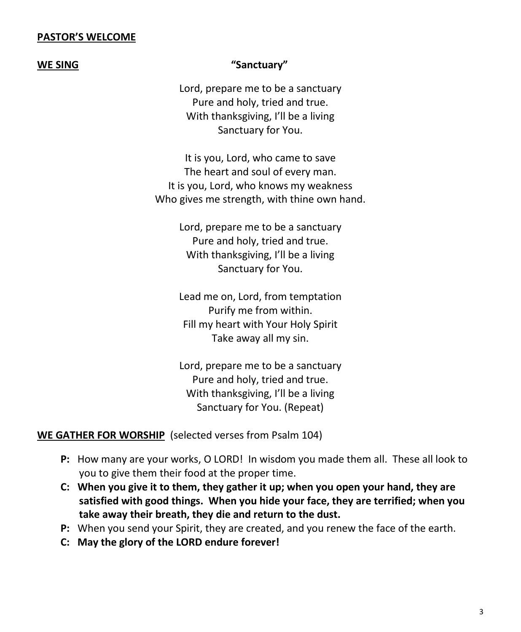#### **PASTOR'S WELCOME**

#### **WE SING "Sanctuary"**

Lord, prepare me to be a sanctuary Pure and holy, tried and true. With thanksgiving, I'll be a living Sanctuary for You.

It is you, Lord, who came to save The heart and soul of every man. It is you, Lord, who knows my weakness Who gives me strength, with thine own hand.

> Lord, prepare me to be a sanctuary Pure and holy, tried and true. With thanksgiving, I'll be a living Sanctuary for You.

> Lead me on, Lord, from temptation Purify me from within. Fill my heart with Your Holy Spirit Take away all my sin.

> Lord, prepare me to be a sanctuary Pure and holy, tried and true. With thanksgiving, I'll be a living Sanctuary for You. (Repeat)

**WE GATHER FOR WORSHIP** (selected verses from Psalm 104)

- **P:** How many are your works, O LORD! In wisdom you made them all. These all look to you to give them their food at the proper time.
- **C: When you give it to them, they gather it up; when you open your hand, they are satisfied with good things. When you hide your face, they are terrified; when you take away their breath, they die and return to the dust.**
- **P:** When you send your Spirit, they are created, and you renew the face of the earth.
- **C: May the glory of the LORD endure forever!**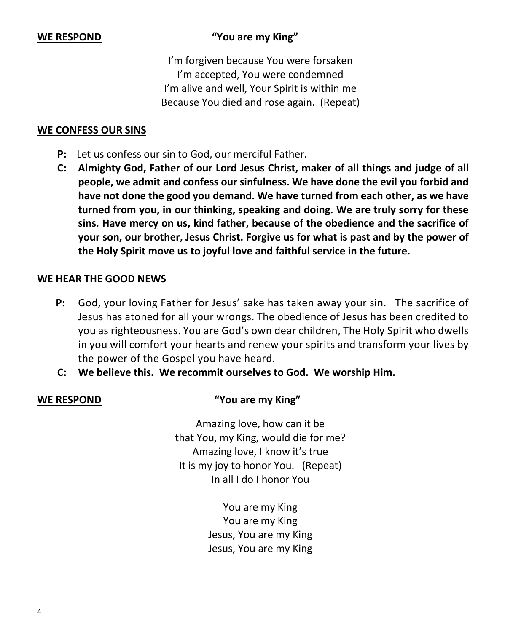## **WE RESPOND "You are my King"**

I'm forgiven because You were forsaken I'm accepted, You were condemned I'm alive and well, Your Spirit is within me Because You died and rose again. (Repeat)

#### **WE CONFESS OUR SINS**

- **P:** Let us confess our sin to God, our merciful Father.
- **C: Almighty God, Father of our Lord Jesus Christ, maker of all things and judge of all people, we admit and confess our sinfulness. We have done the evil you forbid and have not done the good you demand. We have turned from each other, as we have turned from you, in our thinking, speaking and doing. We are truly sorry for these sins. Have mercy on us, kind father, because of the obedience and the sacrifice of your son, our brother, Jesus Christ. Forgive us for what is past and by the power of the Holy Spirit move us to joyful love and faithful service in the future.**

#### **WE HEAR THE GOOD NEWS**

- **P:** God, your loving Father for Jesus' sake has taken away your sin. The sacrifice of Jesus has atoned for all your wrongs. The obedience of Jesus has been credited to you as righteousness. You are God's own dear children, The Holy Spirit who dwells in you will comfort your hearts and renew your spirits and transform your lives by the power of the Gospel you have heard.
- **C: We believe this. We recommit ourselves to God. We worship Him.**

## **WE RESPOND "You are my King"**

Amazing love, how can it be that You, my King, would die for me? Amazing love, I know it's true It is my joy to honor You. (Repeat) In all I do I honor You

> You are my King You are my King Jesus, You are my King Jesus, You are my King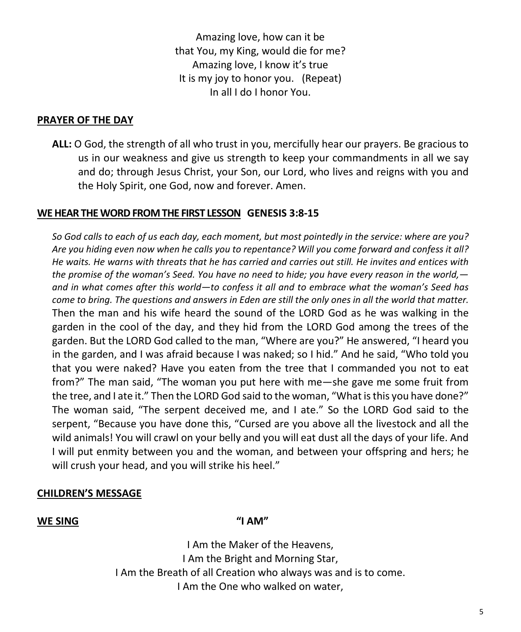Amazing love, how can it be that You, my King, would die for me? Amazing love, I know it's true It is my joy to honor you. (Repeat) In all I do I honor You.

#### **PRAYER OF THE DAY**

**ALL:** O God, the strength of all who trust in you, mercifully hear our prayers. Be gracious to us in our weakness and give us strength to keep your commandments in all we say and do; through Jesus Christ, your Son, our Lord, who lives and reigns with you and the Holy Spirit, one God, now and forever. Amen.

#### **WE HEAR THE WORD FROM THE FIRST LESSON GENESIS 3:8-15**

*So God calls to each of us each day, each moment, but most pointedly in the service: where are you? Are you hiding even now when he calls you to repentance? Will you come forward and confess it all? He waits. He warns with threats that he has carried and carries out still. He invites and entices with the promise of the woman's Seed. You have no need to hide; you have every reason in the world, and in what comes after this world—to confess it all and to embrace what the woman's Seed has come to bring. The questions and answers in Eden are still the only ones in all the world that matter.*  Then the man and his wife heard the sound of the LORD God as he was walking in the garden in the cool of the day, and they hid from the LORD God among the trees of the garden. But the LORD God called to the man, "Where are you?" He answered, "I heard you in the garden, and I was afraid because I was naked; so I hid." And he said, "Who told you that you were naked? Have you eaten from the tree that I commanded you not to eat from?" The man said, "The woman you put here with me—she gave me some fruit from the tree, and I ate it." Then the LORD God said to the woman, "What is this you have done?" The woman said, "The serpent deceived me, and I ate." So the LORD God said to the serpent, "Because you have done this, "Cursed are you above all the livestock and all the wild animals! You will crawl on your belly and you will eat dust all the days of your life. And I will put enmity between you and the woman, and between your offspring and hers; he will crush your head, and you will strike his heel."

#### **CHILDREN'S MESSAGE**

#### **WE SING "I AM"**

I Am the Maker of the Heavens, I Am the Bright and Morning Star, I Am the Breath of all Creation who always was and is to come. I Am the One who walked on water,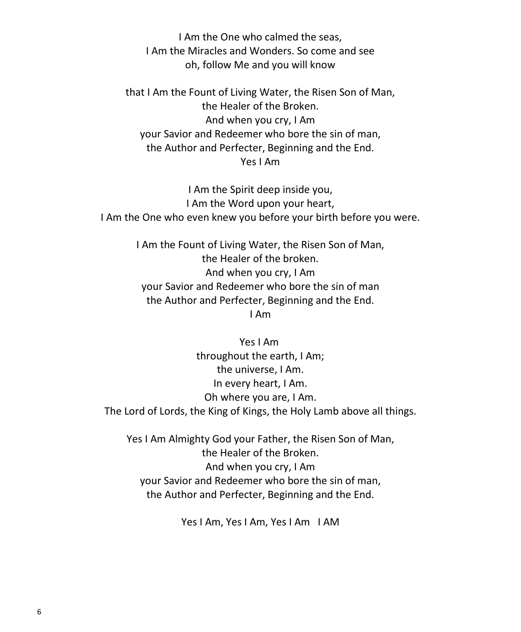I Am the One who calmed the seas, I Am the Miracles and Wonders. So come and see oh, follow Me and you will know

that I Am the Fount of Living Water, the Risen Son of Man, the Healer of the Broken. And when you cry, I Am your Savior and Redeemer who bore the sin of man, the Author and Perfecter, Beginning and the End. Yes I Am

I Am the Spirit deep inside you, I Am the Word upon your heart, I Am the One who even knew you before your birth before you were.

> I Am the Fount of Living Water, the Risen Son of Man, the Healer of the broken. And when you cry, I Am your Savior and Redeemer who bore the sin of man the Author and Perfecter, Beginning and the End. I Am

Yes I Am throughout the earth, I Am; the universe, I Am. In every heart, I Am. Oh where you are, I Am. The Lord of Lords, the King of Kings, the Holy Lamb above all things.

Yes I Am Almighty God your Father, the Risen Son of Man, the Healer of the Broken. And when you cry, I Am your Savior and Redeemer who bore the sin of man, the Author and Perfecter, Beginning and the End.

Yes I Am, Yes I Am, Yes I Am I AM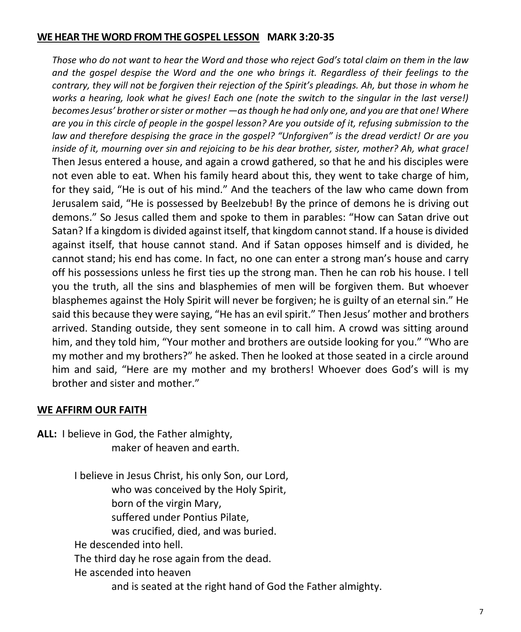#### **WE HEAR THE WORD FROM THE GOSPEL LESSON MARK 3:20-35**

*Those who do not want to hear the Word and those who reject God's total claim on them in the law and the gospel despise the Word and the one who brings it. Regardless of their feelings to the contrary, they will not be forgiven their rejection of the Spirit's pleadings. Ah, but those in whom he*  works a hearing, look what he gives! Each one (note the switch to the singular in the last verse!) *becomes Jesus' brother or sister or mother —as though he had only one, and you are that one! Where are you in this circle of people in the gospel lesson? Are you outside of it, refusing submission to the law and therefore despising the grace in the gospel? "Unforgiven" is the dread verdict! Or are you inside of it, mourning over sin and rejoicing to be his dear brother, sister, mother? Ah, what grace!*  Then Jesus entered a house, and again a crowd gathered, so that he and his disciples were not even able to eat. When his family heard about this, they went to take charge of him, for they said, "He is out of his mind." And the teachers of the law who came down from Jerusalem said, "He is possessed by Beelzebub! By the prince of demons he is driving out demons." So Jesus called them and spoke to them in parables: "How can Satan drive out Satan? If a kingdom is divided against itself, that kingdom cannot stand. If a house is divided against itself, that house cannot stand. And if Satan opposes himself and is divided, he cannot stand; his end has come. In fact, no one can enter a strong man's house and carry off his possessions unless he first ties up the strong man. Then he can rob his house. I tell you the truth, all the sins and blasphemies of men will be forgiven them. But whoever blasphemes against the Holy Spirit will never be forgiven; he is guilty of an eternal sin." He said this because they were saying, "He has an evil spirit." Then Jesus' mother and brothers arrived. Standing outside, they sent someone in to call him. A crowd was sitting around him, and they told him, "Your mother and brothers are outside looking for you." "Who are my mother and my brothers?" he asked. Then he looked at those seated in a circle around him and said, "Here are my mother and my brothers! Whoever does God's will is my brother and sister and mother."

#### **WE AFFIRM OUR FAITH**

**ALL:** I believe in God, the Father almighty, maker of heaven and earth.

> I believe in Jesus Christ, his only Son, our Lord, who was conceived by the Holy Spirit, born of the virgin Mary, suffered under Pontius Pilate, was crucified, died, and was buried. He descended into hell. The third day he rose again from the dead. He ascended into heaven and is seated at the right hand of God the Father almighty.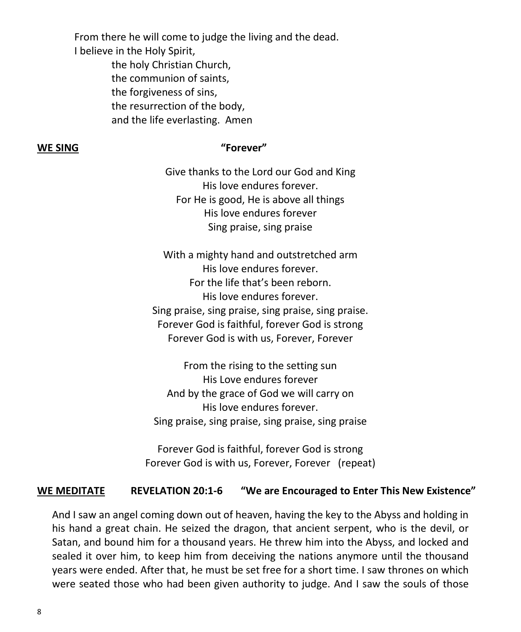From there he will come to judge the living and the dead. I believe in the Holy Spirit, the holy Christian Church, the communion of saints, the forgiveness of sins, the resurrection of the body, and the life everlasting. Amen

#### **WE SING "Forever"**

Give thanks to the Lord our God and King His love endures forever. For He is good, He is above all things His love endures forever Sing praise, sing praise

With a mighty hand and outstretched arm His love endures forever. For the life that's been reborn. His love endures forever. Sing praise, sing praise, sing praise, sing praise. Forever God is faithful, forever God is strong Forever God is with us, Forever, Forever

From the rising to the setting sun His Love endures forever And by the grace of God we will carry on His love endures forever. Sing praise, sing praise, sing praise, sing praise

Forever God is faithful, forever God is strong Forever God is with us, Forever, Forever (repeat)

#### **WE MEDITATE REVELATION 20:1-6 "We are Encouraged to Enter This New Existence"**

And I saw an angel coming down out of heaven, having the key to the Abyss and holding in his hand a great chain. He seized the dragon, that ancient serpent, who is the devil, or Satan, and bound him for a thousand years. He threw him into the Abyss, and locked and sealed it over him, to keep him from deceiving the nations anymore until the thousand years were ended. After that, he must be set free for a short time. I saw thrones on which were seated those who had been given authority to judge. And I saw the souls of those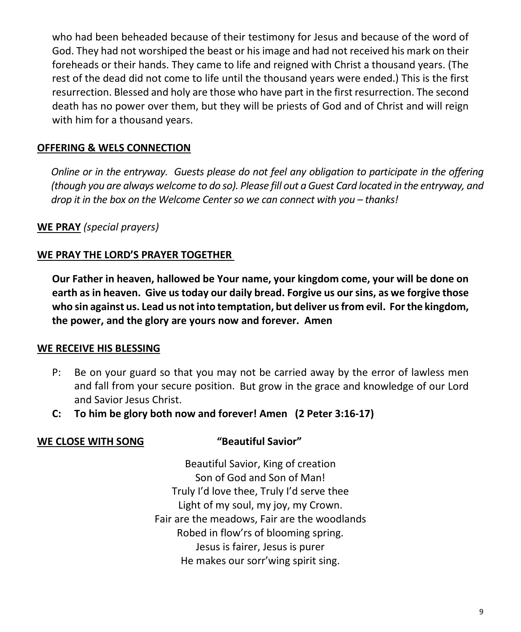who had been beheaded because of their testimony for Jesus and because of the word of God. They had not worshiped the beast or his image and had not received his mark on their foreheads or their hands. They came to life and reigned with Christ a thousand years. (The rest of the dead did not come to life until the thousand years were ended.) This is the first resurrection. Blessed and holy are those who have part in the first resurrection. The second death has no power over them, but they will be priests of God and of Christ and will reign with him for a thousand years.

### **OFFERING & WELS CONNECTION**

*Online or in the entryway. Guests please do not feel any obligation to participate in the offering (though you are always welcome to do so). Please fill out a Guest Card located in the entryway, and drop it in the box on the Welcome Center so we can connect with you – thanks!*

## **WE PRAY** *(special prayers)*

### **WE PRAY THE LORD'S PRAYER TOGETHER**

**Our Father in heaven, hallowed be Your name, your kingdom come, your will be done on earth as in heaven. Give us today our daily bread. Forgive us our sins, as we forgive those who sin against us. Lead us not into temptation, but deliver us from evil. For the kingdom, the power, and the glory are yours now and forever. Amen**

#### **WE RECEIVE HIS BLESSING**

- P: Be on your guard so that you may not be carried away by the error of lawless men and fall from your secure position. But grow in the grace and knowledge of our Lord and Savior Jesus Christ.
- **C: To him be glory both now and forever! Amen (2 Peter 3:16-17)**

#### **WE CLOSE WITH SONG "Beautiful Savior"**

Beautiful Savior, King of creation Son of God and Son of Man! Truly I'd love thee, Truly I'd serve thee Light of my soul, my joy, my Crown. Fair are the meadows, Fair are the woodlands Robed in flow'rs of blooming spring. Jesus is fairer, Jesus is purer He makes our sorr'wing spirit sing.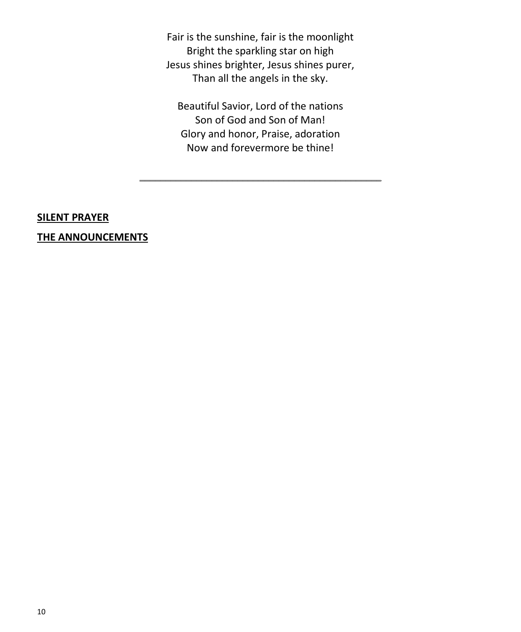Fair is the sunshine, fair is the moonlight Bright the sparkling star on high Jesus shines brighter, Jesus shines purer, Than all the angels in the sky.

Beautiful Savior, Lord of the nations Son of God and Son of Man! Glory and honor, Praise, adoration Now and forevermore be thine!

\_\_\_\_\_\_\_\_\_\_\_\_\_\_\_\_\_\_\_\_\_\_\_\_\_\_\_\_\_\_\_\_\_\_\_\_\_\_\_\_\_\_\_\_\_\_\_

#### **SILENT PRAYER**

**THE ANNOUNCEMENTS**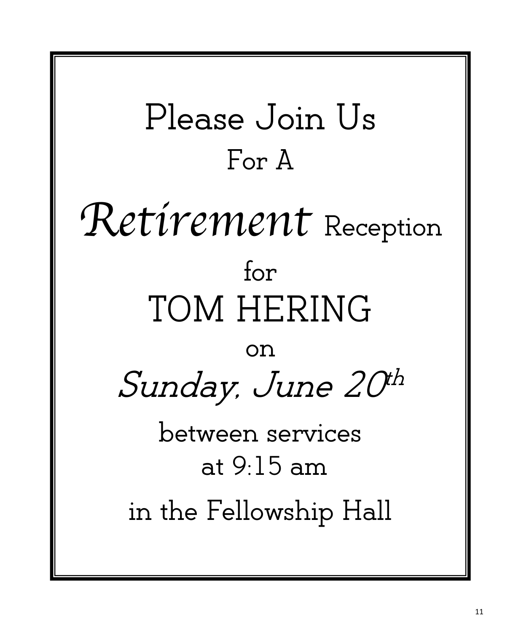Please Join Us For A Retirement Reception for TOM HERING on Sunday, June 20th between services at 9:15 am in the Fellowship Hall